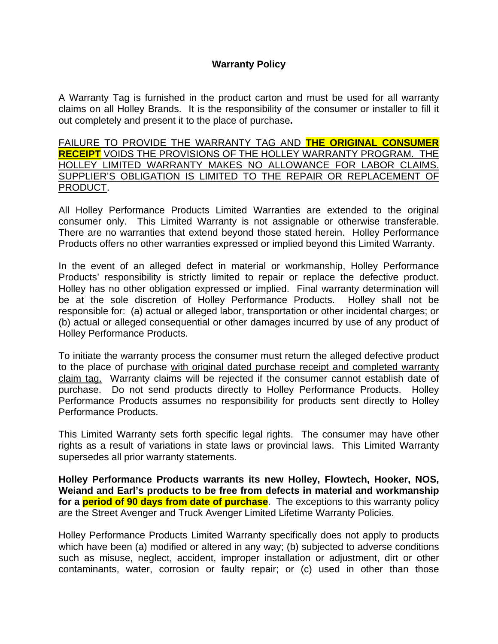## **Warranty Policy**

A Warranty Tag is furnished in the product carton and must be used for all warranty claims on all Holley Brands. It is the responsibility of the consumer or installer to fill it out completely and present it to the place of purchase**.** 

FAILURE TO PROVIDE THE WARRANTY TAG AND **THE ORIGINAL CONSUMER RECEIPT** VOIDS THE PROVISIONS OF THE HOLLEY WARRANTY PROGRAM. THE HOLLEY LIMITED WARRANTY MAKES NO ALLOWANCE FOR LABOR CLAIMS. SUPPLIER'S OBLIGATION IS LIMITED TO THE REPAIR OR REPLACEMENT OF PRODUCT.

All Holley Performance Products Limited Warranties are extended to the original consumer only. This Limited Warranty is not assignable or otherwise transferable. There are no warranties that extend beyond those stated herein. Holley Performance Products offers no other warranties expressed or implied beyond this Limited Warranty.

In the event of an alleged defect in material or workmanship, Holley Performance Products' responsibility is strictly limited to repair or replace the defective product. Holley has no other obligation expressed or implied. Final warranty determination will be at the sole discretion of Holley Performance Products. Holley shall not be responsible for: (a) actual or alleged labor, transportation or other incidental charges; or (b) actual or alleged consequential or other damages incurred by use of any product of Holley Performance Products.

To initiate the warranty process the consumer must return the alleged defective product to the place of purchase with original dated purchase receipt and completed warranty claim tag. Warranty claims will be rejected if the consumer cannot establish date of purchase. Do not send products directly to Holley Performance Products. Holley Performance Products assumes no responsibility for products sent directly to Holley Performance Products.

This Limited Warranty sets forth specific legal rights. The consumer may have other rights as a result of variations in state laws or provincial laws. This Limited Warranty supersedes all prior warranty statements.

**Holley Performance Products warrants its new Holley, Flowtech, Hooker, NOS, Weiand and Earl's products to be free from defects in material and workmanship for a period of 90 days from date of purchase**. The exceptions to this warranty policy are the Street Avenger and Truck Avenger Limited Lifetime Warranty Policies.

Holley Performance Products Limited Warranty specifically does not apply to products which have been (a) modified or altered in any way; (b) subjected to adverse conditions such as misuse, neglect, accident, improper installation or adjustment, dirt or other contaminants, water, corrosion or faulty repair; or (c) used in other than those